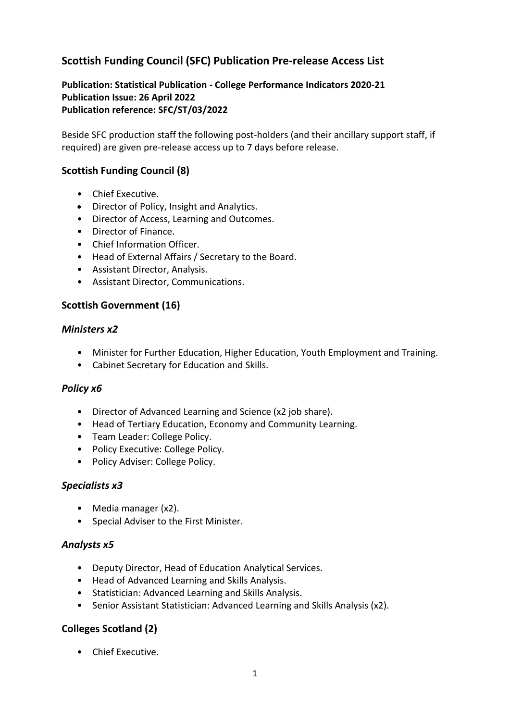## **Scottish Funding Council (SFC) Publication Pre-release Access List**

#### **Publication: Statistical Publication - College Performance Indicators 2020-21 Publication Issue: 26 April 2022 Publication reference: SFC/ST/03/2022**

Beside SFC production staff the following post-holders (and their ancillary support staff, if required) are given pre-release access up to 7 days before release.

#### **Scottish Funding Council (8)**

- Chief Executive.
- Director of Policy, Insight and Analytics.
- Director of Access, Learning and Outcomes.
- Director of Finance.
- Chief Information Officer.
- Head of External Affairs / Secretary to the Board.
- Assistant Director, Analysis.
- Assistant Director, Communications.

### **Scottish Government (16)**

#### *Ministers x2*

- Minister for Further Education, Higher Education, Youth Employment and Training.
- Cabinet Secretary for Education and Skills.

#### *Policy x6*

- Director of Advanced Learning and Science (x2 job share).
- Head of Tertiary Education, Economy and Community Learning.
- Team Leader: College Policy.
- Policy Executive: College Policy.
- Policy Adviser: College Policy.

#### *Specialists x3*

- Media manager (x2).
- Special Adviser to the First Minister.

#### *Analysts x5*

- Deputy Director, Head of Education Analytical Services.
- Head of Advanced Learning and Skills Analysis.
- Statistician: Advanced Learning and Skills Analysis.
- Senior Assistant Statistician: Advanced Learning and Skills Analysis (x2).

## **Colleges Scotland (2)**

• Chief Executive.